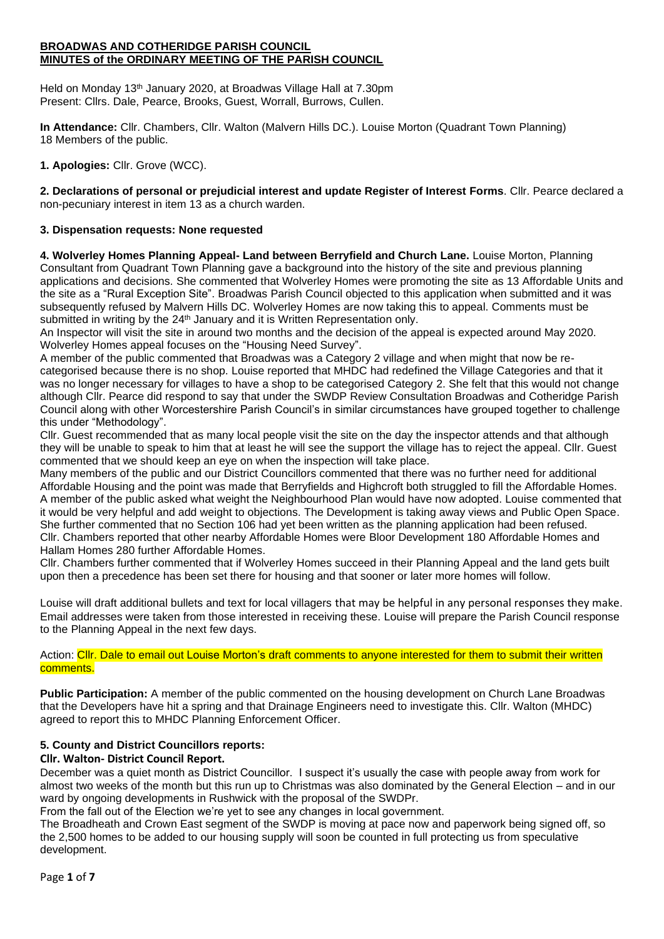#### **BROADWAS AND COTHERIDGE PARISH COUNCIL MINUTES of the ORDINARY MEETING OF THE PARISH COUNCIL**

Held on Monday 13<sup>th</sup> January 2020, at Broadwas Village Hall at 7.30pm Present: Cllrs. Dale, Pearce, Brooks, Guest, Worrall, Burrows, Cullen.

**In Attendance:** Cllr. Chambers, Cllr. Walton (Malvern Hills DC.). Louise Morton (Quadrant Town Planning) 18 Members of the public.

**1. Apologies:** Cllr. Grove (WCC).

**2. Declarations of personal or prejudicial interest and update Register of Interest Forms**. Cllr. Pearce declared a non-pecuniary interest in item 13 as a church warden.

# **3. Dispensation requests: None requested**

**4. Wolverley Homes Planning Appeal- Land between Berryfield and Church Lane.** Louise Morton, Planning Consultant from Quadrant Town Planning gave a background into the history of the site and previous planning applications and decisions. She commented that Wolverley Homes were promoting the site as 13 Affordable Units and the site as a "Rural Exception Site". Broadwas Parish Council objected to this application when submitted and it was subsequently refused by Malvern Hills DC. Wolverley Homes are now taking this to appeal. Comments must be submitted in writing by the 24<sup>th</sup> January and it is Written Representation only.

An Inspector will visit the site in around two months and the decision of the appeal is expected around May 2020. Wolverley Homes appeal focuses on the "Housing Need Survey".

A member of the public commented that Broadwas was a Category 2 village and when might that now be recategorised because there is no shop. Louise reported that MHDC had redefined the Village Categories and that it was no longer necessary for villages to have a shop to be categorised Category 2. She felt that this would not change although Cllr. Pearce did respond to say that under the SWDP Review Consultation Broadwas and Cotheridge Parish Council along with other Worcestershire Parish Council's in similar circumstances have grouped together to challenge this under "Methodology".

Cllr. Guest recommended that as many local people visit the site on the day the inspector attends and that although they will be unable to speak to him that at least he will see the support the village has to reject the appeal. Cllr. Guest commented that we should keep an eye on when the inspection will take place.

Many members of the public and our District Councillors commented that there was no further need for additional Affordable Housing and the point was made that Berryfields and Highcroft both struggled to fill the Affordable Homes. A member of the public asked what weight the Neighbourhood Plan would have now adopted. Louise commented that it would be very helpful and add weight to objections. The Development is taking away views and Public Open Space. She further commented that no Section 106 had yet been written as the planning application had been refused. Cllr. Chambers reported that other nearby Affordable Homes were Bloor Development 180 Affordable Homes and Hallam Homes 280 further Affordable Homes.

Cllr. Chambers further commented that if Wolverley Homes succeed in their Planning Appeal and the land gets built upon then a precedence has been set there for housing and that sooner or later more homes will follow.

Louise will draft additional bullets and text for local villagers that may be helpful in any personal responses they make. Email addresses were taken from those interested in receiving these. Louise will prepare the Parish Council response to the Planning Appeal in the next few days.

## Action: Cllr. Dale to email out Louise Morton's draft comments to anyone interested for them to submit their written comments.

**Public Participation:** A member of the public commented on the housing development on Church Lane Broadwas that the Developers have hit a spring and that Drainage Engineers need to investigate this. Cllr. Walton (MHDC) agreed to report this to MHDC Planning Enforcement Officer.

# **5. County and District Councillors reports:**

# **Cllr. Walton- District Council Report.**

December was a quiet month as District Councillor. I suspect it's usually the case with people away from work for almost two weeks of the month but this run up to Christmas was also dominated by the General Election – and in our ward by ongoing developments in Rushwick with the proposal of the SWDPr.

From the fall out of the Election we're yet to see any changes in local government.

The Broadheath and Crown East segment of the SWDP is moving at pace now and paperwork being signed off, so the 2,500 homes to be added to our housing supply will soon be counted in full protecting us from speculative development.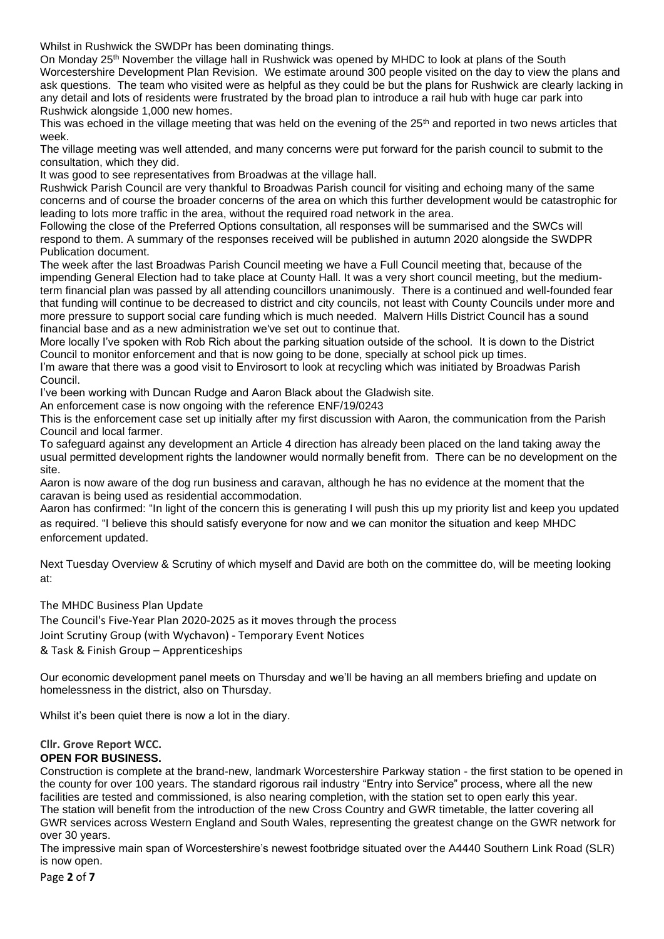Whilst in Rushwick the SWDPr has been dominating things.

On Monday 25<sup>th</sup> November the village hall in Rushwick was opened by MHDC to look at plans of the South Worcestershire Development Plan Revision. We estimate around 300 people visited on the day to view the plans and ask questions. The team who visited were as helpful as they could be but the plans for Rushwick are clearly lacking in any detail and lots of residents were frustrated by the broad plan to introduce a rail hub with huge car park into Rushwick alongside 1,000 new homes.

This was echoed in the village meeting that was held on the evening of the 25<sup>th</sup> and reported in two news articles that week.

The village meeting was well attended, and many concerns were put forward for the parish council to submit to the consultation, which they did.

It was good to see representatives from Broadwas at the village hall.

Rushwick Parish Council are very thankful to Broadwas Parish council for visiting and echoing many of the same concerns and of course the broader concerns of the area on which this further development would be catastrophic for leading to lots more traffic in the area, without the required road network in the area.

Following the close of the Preferred Options consultation, all responses will be summarised and the SWCs will respond to them. A summary of the responses received will be published in autumn 2020 alongside the SWDPR Publication document.

The week after the last Broadwas Parish Council meeting we have a Full Council meeting that, because of the impending General Election had to take place at County Hall. It was a very short council meeting, but the mediumterm financial plan was passed by all attending councillors unanimously. There is a continued and well-founded fear that funding will continue to be decreased to district and city councils, not least with County Councils under more and more pressure to support social care funding which is much needed. Malvern Hills District Council has a sound financial base and as a new administration we've set out to continue that.

More locally I've spoken with Rob Rich about the parking situation outside of the school. It is down to the District Council to monitor enforcement and that is now going to be done, specially at school pick up times.

I'm aware that there was a good visit to Envirosort to look at recycling which was initiated by Broadwas Parish Council.

I've been working with Duncan Rudge and Aaron Black about the Gladwish site.

An enforcement case is now ongoing with the reference ENF/19/0243

This is the enforcement case set up initially after my first discussion with Aaron, the communication from the Parish Council and local farmer.

To safeguard against any development an Article 4 direction has already been placed on the land taking away the usual permitted development rights the landowner would normally benefit from. There can be no development on the site.

Aaron is now aware of the dog run business and caravan, although he has no evidence at the moment that the caravan is being used as residential accommodation.

Aaron has confirmed: "In light of the concern this is generating I will push this up my priority list and keep you updated as required. "I believe this should satisfy everyone for now and we can monitor the situation and keep MHDC enforcement updated.

Next Tuesday Overview & Scrutiny of which myself and David are both on the committee do, will be meeting looking at:

The MHDC Business Plan Update

The Council's Five-Year Plan 2020-2025 as it moves through the process Joint Scrutiny Group (with Wychavon) - Temporary Event Notices & Task & Finish Group – Apprenticeships

Our economic development panel meets on Thursday and we'll be having an all members briefing and update on homelessness in the district, also on Thursday.

Whilst it's been quiet there is now a lot in the diary.

## **Cllr. Grove Report WCC.**

#### **OPEN FOR BUSINESS.**

Construction is complete at the brand-new, landmark Worcestershire Parkway station - the first station to be opened in the county for over 100 years. The standard rigorous rail industry "Entry into Service" process, where all the new facilities are tested and commissioned, is also nearing completion, with the station set to open early this year. The station will benefit from the introduction of the new Cross Country and GWR timetable, the latter covering all GWR services across Western England and South Wales, representing the greatest change on the GWR network for over 30 years.

The impressive main span of Worcestershire's newest footbridge situated over the A4440 Southern Link Road (SLR) is now open.

Page **2** of **7**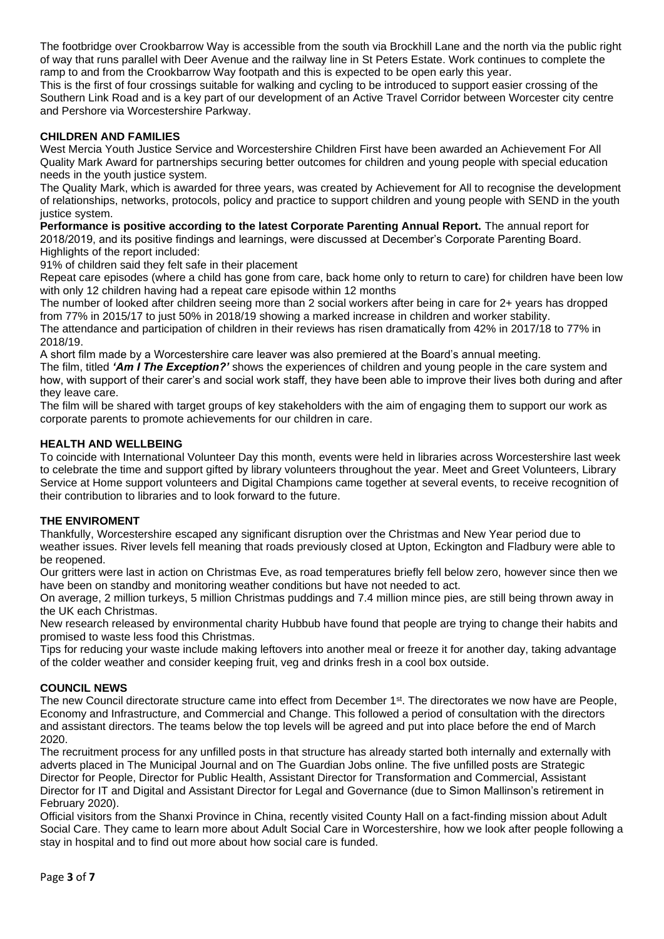The footbridge over Crookbarrow Way is accessible from the south via Brockhill Lane and the north via the public right of way that runs parallel with Deer Avenue and the railway line in St Peters Estate. Work continues to complete the ramp to and from the Crookbarrow Way footpath and this is expected to be open early this year.

This is the first of four crossings suitable for walking and cycling to be introduced to support easier crossing of the Southern Link Road and is a key part of our development of an Active Travel Corridor between Worcester city centre and Pershore via Worcestershire Parkway.

## **CHILDREN AND FAMILIES**

West Mercia Youth Justice Service and Worcestershire Children First have been awarded an Achievement For All Quality Mark Award for partnerships securing better outcomes for children and young people with special education needs in the youth justice system.

The Quality Mark, which is awarded for three years, was created by Achievement for All to recognise the development of relationships, networks, protocols, policy and practice to support children and young people with SEND in the youth justice system.

**Performance is positive according to the latest Corporate Parenting Annual Report.** The annual report for 2018/2019, and its positive findings and learnings, were discussed at December's Corporate Parenting Board. Highlights of the report included:

91% of children said they felt safe in their placement

Repeat care episodes (where a child has gone from care, back home only to return to care) for children have been low with only 12 children having had a repeat care episode within 12 months

The number of looked after children seeing more than 2 social workers after being in care for 2+ years has dropped from 77% in 2015/17 to just 50% in 2018/19 showing a marked increase in children and worker stability.

The attendance and participation of children in their reviews has risen dramatically from 42% in 2017/18 to 77% in 2018/19.

A short film made by a Worcestershire care leaver was also premiered at the Board's annual meeting. The film, titled *'Am I The Exception?'* shows the experiences of children and young people in the care system and how, with support of their carer's and social work staff, they have been able to improve their lives both during and after they leave care.

The film will be shared with target groups of key stakeholders with the aim of engaging them to support our work as corporate parents to promote achievements for our children in care.

## **HEALTH AND WELLBEING**

To coincide with International Volunteer Day this month, events were held in libraries across Worcestershire last week to celebrate the time and support gifted by library volunteers throughout the year. Meet and Greet Volunteers, Library Service at Home support volunteers and Digital Champions came together at several events, to receive recognition of their contribution to libraries and to look forward to the future.

## **THE ENVIROMENT**

Thankfully, Worcestershire escaped any significant disruption over the Christmas and New Year period due to weather issues. River levels fell meaning that roads previously closed at Upton, Eckington and Fladbury were able to be reopened.

Our gritters were last in action on Christmas Eve, as road temperatures briefly fell below zero, however since then we have been on standby and monitoring weather conditions but have not needed to act.

On average, 2 million turkeys, 5 million Christmas puddings and 7.4 million mince pies, are still being thrown away in the UK each Christmas.

New research released by environmental charity Hubbub have found that people are trying to change their habits and promised to waste less food this Christmas.

Tips for reducing your waste include making leftovers into another meal or freeze it for another day, taking advantage of the colder weather and consider keeping fruit, veg and drinks fresh in a cool box outside.

## **COUNCIL NEWS**

The new Council directorate structure came into effect from December 1st. The directorates we now have are People, Economy and Infrastructure, and Commercial and Change. This followed a period of consultation with the directors and assistant directors. The teams below the top levels will be agreed and put into place before the end of March 2020.

The recruitment process for any unfilled posts in that structure has already started both internally and externally with adverts placed in The Municipal Journal and on The Guardian Jobs online. The five unfilled posts are Strategic Director for People, Director for Public Health, Assistant Director for Transformation and Commercial, Assistant Director for IT and Digital and Assistant Director for Legal and Governance (due to Simon Mallinson's retirement in February 2020).

Official visitors from the Shanxi Province in China, recently visited County Hall on a fact-finding mission about Adult Social Care. They came to learn more about Adult Social Care in Worcestershire, how we look after people following a stay in hospital and to find out more about how social care is funded.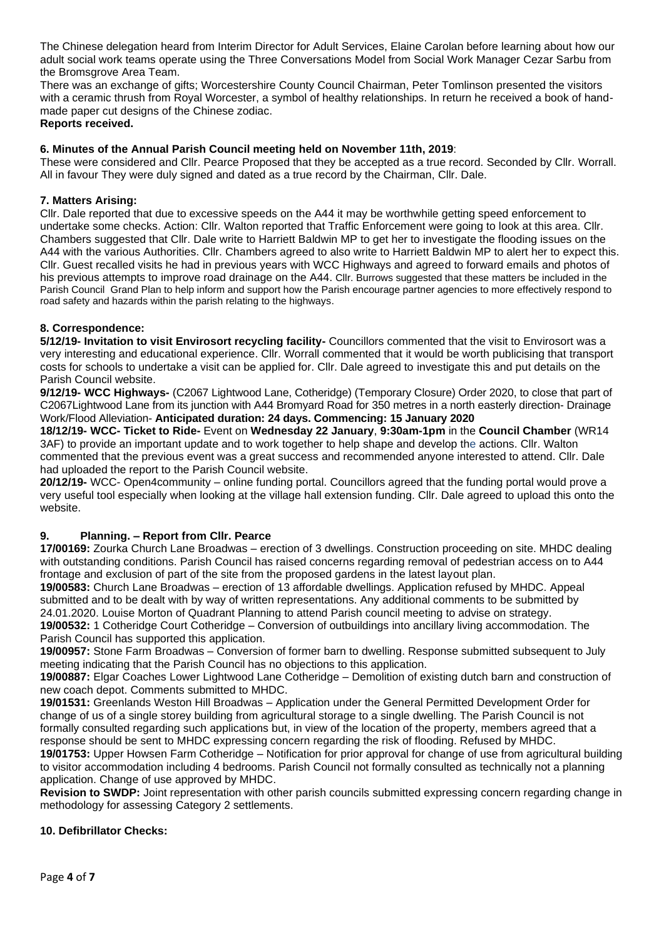The Chinese delegation heard from Interim Director for Adult Services, Elaine Carolan before learning about how our adult social work teams operate using the Three Conversations Model from Social Work Manager Cezar Sarbu from the Bromsgrove Area Team.

There was an exchange of gifts; Worcestershire County Council Chairman, Peter Tomlinson presented the visitors with a ceramic thrush from Royal Worcester, a symbol of healthy relationships. In return he received a book of handmade paper cut designs of the Chinese zodiac.

**Reports received.**

## **6. Minutes of the Annual Parish Council meeting held on November 11th, 2019**:

These were considered and Cllr. Pearce Proposed that they be accepted as a true record. Seconded by Cllr. Worrall. All in favour They were duly signed and dated as a true record by the Chairman, Cllr. Dale.

## **7. Matters Arising:**

Cllr. Dale reported that due to excessive speeds on the A44 it may be worthwhile getting speed enforcement to undertake some checks. Action: Cllr. Walton reported that Traffic Enforcement were going to look at this area. Cllr. Chambers suggested that Cllr. Dale write to Harriett Baldwin MP to get her to investigate the flooding issues on the A44 with the various Authorities. Cllr. Chambers agreed to also write to Harriett Baldwin MP to alert her to expect this. Cllr. Guest recalled visits he had in previous years with WCC Highways and agreed to forward emails and photos of his previous attempts to improve road drainage on the A44. Cllr. Burrows suggested that these matters be included in the Parish Council Grand Plan to help inform and support how the Parish encourage partner agencies to more effectively respond to road safety and hazards within the parish relating to the highways.

#### **8. Correspondence:**

**5/12/19- Invitation to visit Envirosort recycling facility-** Councillors commented that the visit to Envirosort was a very interesting and educational experience. Cllr. Worrall commented that it would be worth publicising that transport costs for schools to undertake a visit can be applied for. Cllr. Dale agreed to investigate this and put details on the Parish Council website.

**9/12/19- WCC Highways-** (C2067 Lightwood Lane, Cotheridge) (Temporary Closure) Order 2020, to close that part of C2067Lightwood Lane from its junction with A44 Bromyard Road for 350 metres in a north easterly direction- Drainage Work/Flood Alleviation- **Anticipated duration: 24 days. Commencing: 15 January 2020**

**18/12/19- WCC- Ticket to Ride-** Event on **Wednesday 22 January**, **9:30am-1pm** in the **Council Chamber** (WR14 3AF) to provide an important update and to work together to help shape and develop the actions. Cllr. Walton commented that the previous event was a great success and recommended anyone interested to attend. Cllr. Dale had uploaded the report to the Parish Council website.

**20/12/19-** WCC- Open4community – online funding portal. Councillors agreed that the funding portal would prove a very useful tool especially when looking at the village hall extension funding. Cllr. Dale agreed to upload this onto the website.

## **9. Planning. – Report from Cllr. Pearce**

**17/00169:** Zourka Church Lane Broadwas – erection of 3 dwellings. Construction proceeding on site. MHDC dealing with outstanding conditions. Parish Council has raised concerns regarding removal of pedestrian access on to A44 frontage and exclusion of part of the site from the proposed gardens in the latest layout plan.

**19/00583:** Church Lane Broadwas – erection of 13 affordable dwellings. Application refused by MHDC. Appeal submitted and to be dealt with by way of written representations. Any additional comments to be submitted by 24.01.2020. Louise Morton of Quadrant Planning to attend Parish council meeting to advise on strategy.

**19/00532:** 1 Cotheridge Court Cotheridge – Conversion of outbuildings into ancillary living accommodation. The Parish Council has supported this application.

**19/00957:** Stone Farm Broadwas – Conversion of former barn to dwelling. Response submitted subsequent to July meeting indicating that the Parish Council has no objections to this application.

**19/00887:** Elgar Coaches Lower Lightwood Lane Cotheridge – Demolition of existing dutch barn and construction of new coach depot. Comments submitted to MHDC.

**19/01531:** Greenlands Weston Hill Broadwas – Application under the General Permitted Development Order for change of us of a single storey building from agricultural storage to a single dwelling. The Parish Council is not formally consulted regarding such applications but, in view of the location of the property, members agreed that a response should be sent to MHDC expressing concern regarding the risk of flooding. Refused by MHDC.

**19/01753:** Upper Howsen Farm Cotheridge – Notification for prior approval for change of use from agricultural building to visitor accommodation including 4 bedrooms. Parish Council not formally consulted as technically not a planning application. Change of use approved by MHDC.

**Revision to SWDP:** Joint representation with other parish councils submitted expressing concern regarding change in methodology for assessing Category 2 settlements.

## **10. Defibrillator Checks:**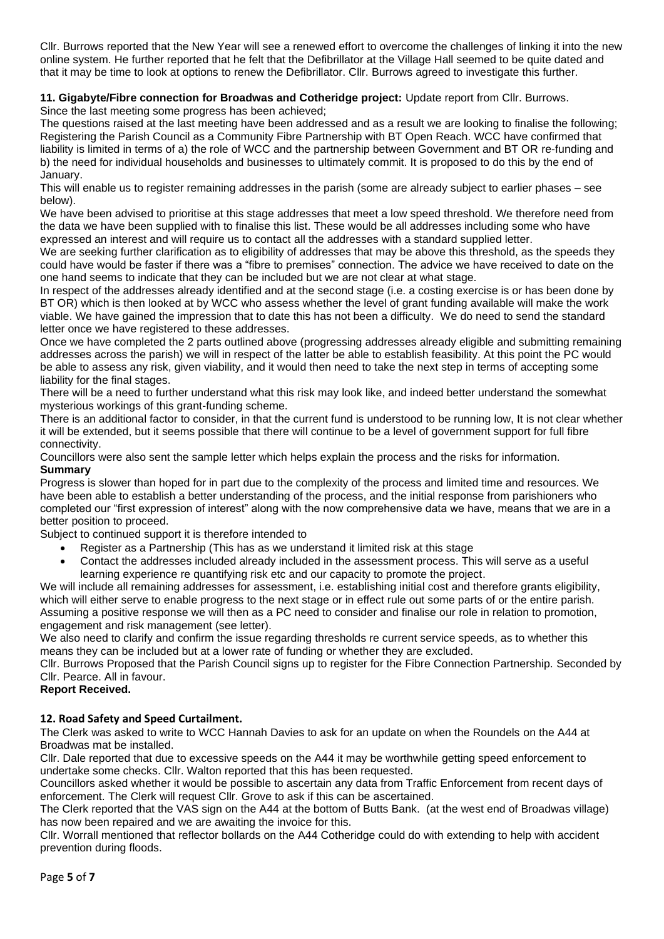Cllr. Burrows reported that the New Year will see a renewed effort to overcome the challenges of linking it into the new online system. He further reported that he felt that the Defibrillator at the Village Hall seemed to be quite dated and that it may be time to look at options to renew the Defibrillator. Cllr. Burrows agreed to investigate this further.

**11. Gigabyte/Fibre connection for Broadwas and Cotheridge project:** Update report from Cllr. Burrows. Since the last meeting some progress has been achieved;

The questions raised at the last meeting have been addressed and as a result we are looking to finalise the following; Registering the Parish Council as a Community Fibre Partnership with BT Open Reach. WCC have confirmed that liability is limited in terms of a) the role of WCC and the partnership between Government and BT OR re-funding and b) the need for individual households and businesses to ultimately commit. It is proposed to do this by the end of January.

This will enable us to register remaining addresses in the parish (some are already subject to earlier phases – see below).

We have been advised to prioritise at this stage addresses that meet a low speed threshold. We therefore need from the data we have been supplied with to finalise this list. These would be all addresses including some who have expressed an interest and will require us to contact all the addresses with a standard supplied letter.

We are seeking further clarification as to eligibility of addresses that may be above this threshold, as the speeds they could have would be faster if there was a "fibre to premises" connection. The advice we have received to date on the one hand seems to indicate that they can be included but we are not clear at what stage.

In respect of the addresses already identified and at the second stage (i.e. a costing exercise is or has been done by BT OR) which is then looked at by WCC who assess whether the level of grant funding available will make the work viable. We have gained the impression that to date this has not been a difficulty. We do need to send the standard letter once we have registered to these addresses.

Once we have completed the 2 parts outlined above (progressing addresses already eligible and submitting remaining addresses across the parish) we will in respect of the latter be able to establish feasibility. At this point the PC would be able to assess any risk, given viability, and it would then need to take the next step in terms of accepting some liability for the final stages.

There will be a need to further understand what this risk may look like, and indeed better understand the somewhat mysterious workings of this grant-funding scheme.

There is an additional factor to consider, in that the current fund is understood to be running low, It is not clear whether it will be extended, but it seems possible that there will continue to be a level of government support for full fibre connectivity.

Councillors were also sent the sample letter which helps explain the process and the risks for information. **Summary**

Progress is slower than hoped for in part due to the complexity of the process and limited time and resources. We have been able to establish a better understanding of the process, and the initial response from parishioners who completed our "first expression of interest" along with the now comprehensive data we have, means that we are in a better position to proceed.

Subject to continued support it is therefore intended to

- Register as a Partnership (This has as we understand it limited risk at this stage
- Contact the addresses included already included in the assessment process. This will serve as a useful learning experience re quantifying risk etc and our capacity to promote the project.

We will include all remaining addresses for assessment, i.e. establishing initial cost and therefore grants eligibility, which will either serve to enable progress to the next stage or in effect rule out some parts of or the entire parish. Assuming a positive response we will then as a PC need to consider and finalise our role in relation to promotion, engagement and risk management (see letter).

We also need to clarify and confirm the issue regarding thresholds re current service speeds, as to whether this means they can be included but at a lower rate of funding or whether they are excluded.

Cllr. Burrows Proposed that the Parish Council signs up to register for the Fibre Connection Partnership. Seconded by Cllr. Pearce. All in favour.

## **Report Received.**

## **12. Road Safety and Speed Curtailment.**

The Clerk was asked to write to WCC Hannah Davies to ask for an update on when the Roundels on the A44 at Broadwas mat be installed.

Cllr. Dale reported that due to excessive speeds on the A44 it may be worthwhile getting speed enforcement to undertake some checks. Cllr. Walton reported that this has been requested.

Councillors asked whether it would be possible to ascertain any data from Traffic Enforcement from recent days of enforcement. The Clerk will request Cllr. Grove to ask if this can be ascertained.

The Clerk reported that the VAS sign on the A44 at the bottom of Butts Bank. (at the west end of Broadwas village) has now been repaired and we are awaiting the invoice for this.

Cllr. Worrall mentioned that reflector bollards on the A44 Cotheridge could do with extending to help with accident prevention during floods.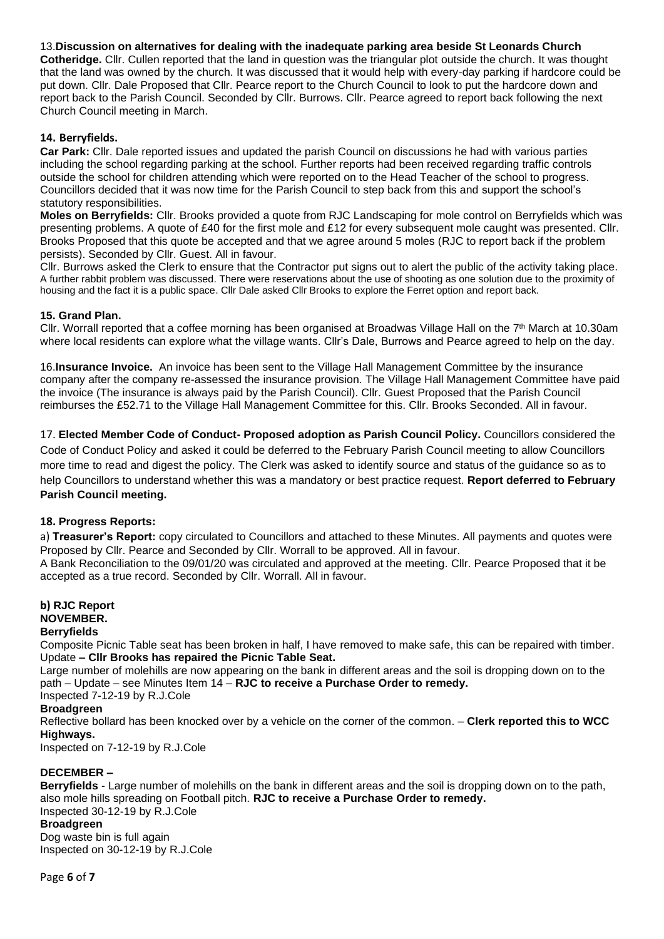13.**Discussion on alternatives for dealing with the inadequate parking area beside St Leonards Church** 

**Cotheridge.** Cllr. Cullen reported that the land in question was the triangular plot outside the church. It was thought that the land was owned by the church. It was discussed that it would help with every-day parking if hardcore could be put down. Cllr. Dale Proposed that Cllr. Pearce report to the Church Council to look to put the hardcore down and report back to the Parish Council. Seconded by Cllr. Burrows. Cllr. Pearce agreed to report back following the next Church Council meeting in March.

## **14. Berryfields.**

**Car Park:** Cllr. Dale reported issues and updated the parish Council on discussions he had with various parties including the school regarding parking at the school. Further reports had been received regarding traffic controls outside the school for children attending which were reported on to the Head Teacher of the school to progress. Councillors decided that it was now time for the Parish Council to step back from this and support the school's statutory responsibilities.

**Moles on Berryfields:** Cllr. Brooks provided a quote from RJC Landscaping for mole control on Berryfields which was presenting problems. A quote of £40 for the first mole and £12 for every subsequent mole caught was presented. Cllr. Brooks Proposed that this quote be accepted and that we agree around 5 moles (RJC to report back if the problem persists). Seconded by Cllr. Guest. All in favour.

Cllr. Burrows asked the Clerk to ensure that the Contractor put signs out to alert the public of the activity taking place. A further rabbit problem was discussed. There were reservations about the use of shooting as one solution due to the proximity of housing and the fact it is a public space. Cllr Dale asked Cllr Brooks to explore the Ferret option and report back.

## **15. Grand Plan.**

Cllr. Worrall reported that a coffee morning has been organised at Broadwas Village Hall on the 7th March at 10.30am where local residents can explore what the village wants. Cllr's Dale, Burrows and Pearce agreed to help on the day.

16.**Insurance Invoice.** An invoice has been sent to the Village Hall Management Committee by the insurance company after the company re-assessed the insurance provision. The Village Hall Management Committee have paid the invoice (The insurance is always paid by the Parish Council). Cllr. Guest Proposed that the Parish Council reimburses the £52.71 to the Village Hall Management Committee for this. Cllr. Brooks Seconded. All in favour.

17. **Elected Member Code of Conduct- Proposed adoption as Parish Council Policy.** Councillors considered the Code of Conduct Policy and asked it could be deferred to the February Parish Council meeting to allow Councillors more time to read and digest the policy. The Clerk was asked to identify source and status of the guidance so as to help Councillors to understand whether this was a mandatory or best practice request. **Report deferred to February Parish Council meeting.**

## **18. Progress Reports:**

a) **Treasurer's Report:** copy circulated to Councillors and attached to these Minutes. All payments and quotes were Proposed by Cllr. Pearce and Seconded by Cllr. Worrall to be approved. All in favour.

A Bank Reconciliation to the 09/01/20 was circulated and approved at the meeting. Cllr. Pearce Proposed that it be accepted as a true record. Seconded by Cllr. Worrall. All in favour.

#### **b) RJC Report NOVEMBER. Berryfields**

Composite Picnic Table seat has been broken in half, I have removed to make safe, this can be repaired with timber. Update **– Cllr Brooks has repaired the Picnic Table Seat.**

Large number of molehills are now appearing on the bank in different areas and the soil is dropping down on to the path – Update – see Minutes Item 14 – **RJC to receive a Purchase Order to remedy.** Inspected 7-12-19 by R.J.Cole

## **Broadgreen**

Reflective bollard has been knocked over by a vehicle on the corner of the common. – **Clerk reported this to WCC Highways.**

Inspected on 7-12-19 by R.J.Cole

## **DECEMBER –**

**Berryfields** - Large number of molehills on the bank in different areas and the soil is dropping down on to the path, also mole hills spreading on Football pitch. **RJC to receive a Purchase Order to remedy.** Inspected 30-12-19 by R.J.Cole

## **Broadgreen**

Dog waste bin is full again Inspected on 30-12-19 by R.J.Cole

Page **6** of **7**